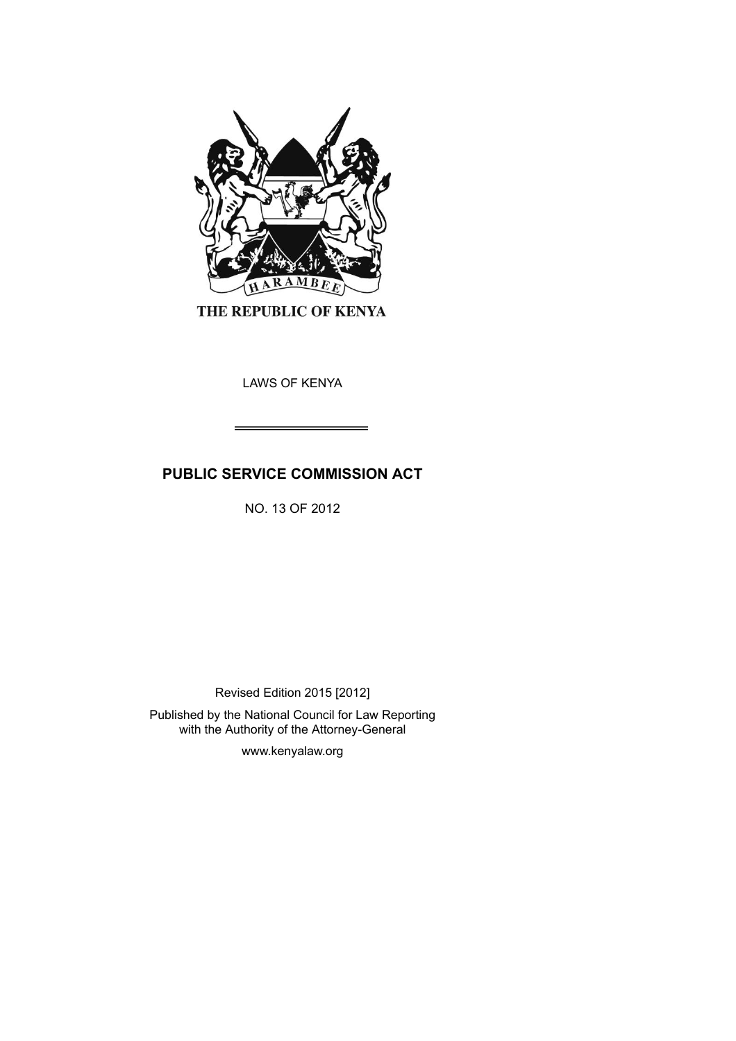

THE REPUBLIC OF KENYA

LAWS OF KENYA

# **PUBLIC SERVICE COMMISSION ACT**

NO. 13 OF 2012

Revised Edition 2015 [2012]

Published by the National Council for Law Reporting with the Authority of the Attorney-General

www.kenyalaw.org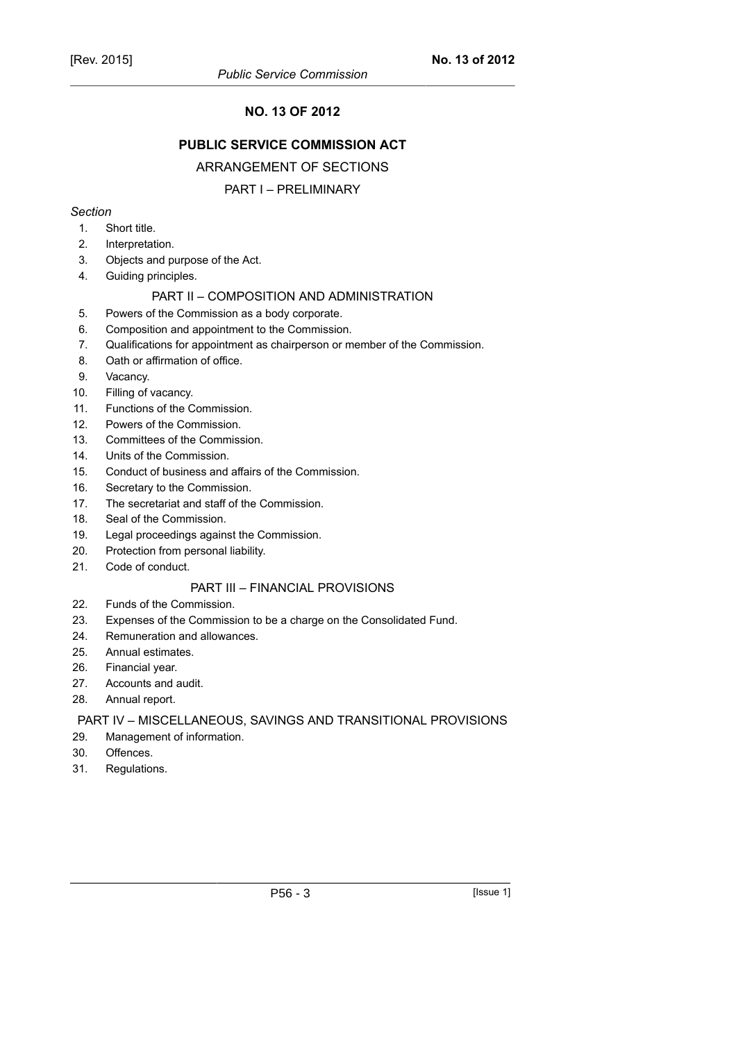# **NO. 13 OF 2012**

# **PUBLIC SERVICE COMMISSION ACT**

# ARRANGEMENT OF SECTIONS

# PART I – PRELIMINARY

#### *Section*

- 1. Short title.
- 2. Interpretation.
- 3. Objects and purpose of the Act.
- 4. Guiding principles.

#### PART II – COMPOSITION AND ADMINISTRATION

- 5. Powers of the Commission as a body corporate.
- 6. Composition and appointment to the Commission.
- 7. Qualifications for appointment as chairperson or member of the Commission.
- 8. Oath or affirmation of office.
- 9. Vacancy.
- 10. Filling of vacancy.
- 11. Functions of the Commission.
- 12. Powers of the Commission.
- 13. Committees of the Commission.
- 14. Units of the Commission.
- 15. Conduct of business and affairs of the Commission.
- 16. Secretary to the Commission.
- 17. The secretariat and staff of the Commission.
- 18. Seal of the Commission.
- 19. Legal proceedings against the Commission.
- 20. Protection from personal liability.
- 21. Code of conduct.

#### PART III – FINANCIAL PROVISIONS

- 22. Funds of the Commission.
- 23. Expenses of the Commission to be a charge on the Consolidated Fund.
- 24. Remuneration and allowances.
- 25. Annual estimates.
- 26. Financial year.
- 27. Accounts and audit.
- 28. Annual report.

#### PART IV – MISCELLANEOUS, SAVINGS AND TRANSITIONAL PROVISIONS

- 29. Management of information.
- 30. Offences.
- 31. Regulations.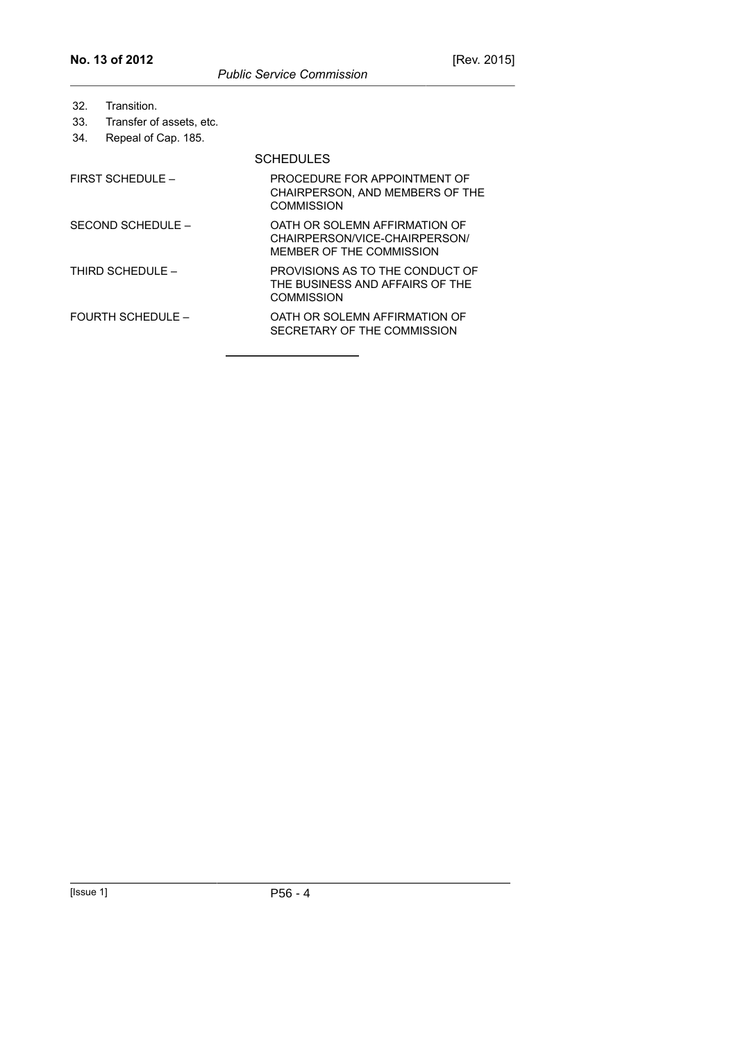| 32.<br>33.<br>34.        | Transition.<br>Transfer of assets, etc.<br>Repeal of Cap. 185. |                                                                                            |
|--------------------------|----------------------------------------------------------------|--------------------------------------------------------------------------------------------|
|                          |                                                                | <b>SCHEDULES</b>                                                                           |
| FIRST SCHEDULE -         |                                                                | PROCEDURE FOR APPOINTMENT OF<br>CHAIRPERSON, AND MEMBERS OF THE<br>COMMISSION              |
| SECOND SCHEDULE -        |                                                                | OATH OR SOLEMN AFFIRMATION OF<br>CHAIRPERSON/VICE-CHAIRPERSON/<br>MEMBER OF THE COMMISSION |
| THIRD SCHEDUI F –        |                                                                | PROVISIONS AS TO THE CONDUCT OF<br>THE BUSINESS AND AFFAIRS OF THE<br>COMMISSION           |
| <b>FOURTH SCHEDULE -</b> |                                                                | OATH OR SOLEMN AFFIRMATION OF<br>SECRETARY OF THE COMMISSION                               |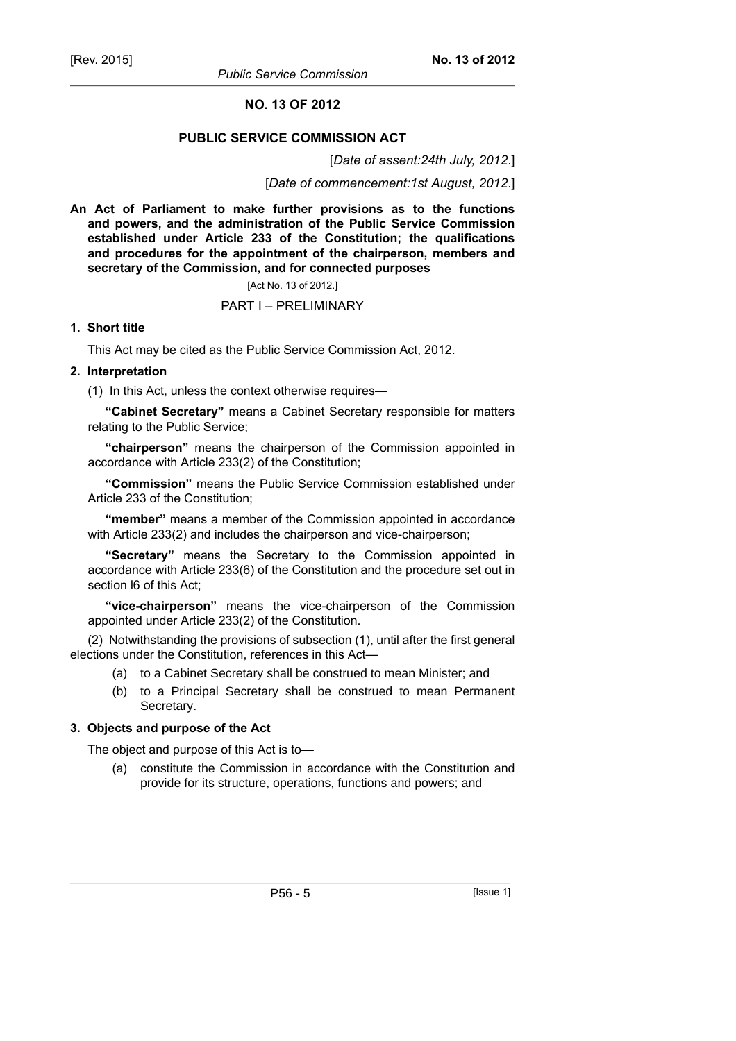# **NO. 13 OF 2012**

# **PUBLIC SERVICE COMMISSION ACT**

[*Date of assent:24th July, 2012*.]

[*Date of commencement:1st August, 2012*.]

**An Act of Parliament to make further provisions as to the functions and powers, and the administration of the Public Service Commission established under Article 233 of the Constitution; the qualifications and procedures for the appointment of the chairperson, members and secretary of the Commission, and for connected purposes**

#### [Act No. 13 of 2012.]

#### PART I – PRELIMINARY

#### **1. Short title**

This Act may be cited as the Public Service Commission Act, 2012.

#### **2. Interpretation**

(1) In this Act, unless the context otherwise requires—

**"Cabinet Secretary"** means a Cabinet Secretary responsible for matters relating to the Public Service;

**"chairperson"** means the chairperson of the Commission appointed in accordance with Article 233(2) of the Constitution;

**"Commission"** means the Public Service Commission established under Article 233 of the Constitution;

**"member"** means a member of the Commission appointed in accordance with Article 233(2) and includes the chairperson and vice-chairperson;

**"Secretary"** means the Secretary to the Commission appointed in accordance with Article 233(6) of the Constitution and the procedure set out in section l6 of this Act;

**"vice-chairperson"** means the vice-chairperson of the Commission appointed under Article 233(2) of the Constitution.

(2) Notwithstanding the provisions of subsection (1), until after the first general elections under the Constitution, references in this Act—

- (a) to a Cabinet Secretary shall be construed to mean Minister; and
- (b) to a Principal Secretary shall be construed to mean Permanent Secretary.

#### **3. Objects and purpose of the Act**

The object and purpose of this Act is to—

(a) constitute the Commission in accordance with the Constitution and provide for its structure, operations, functions and powers; and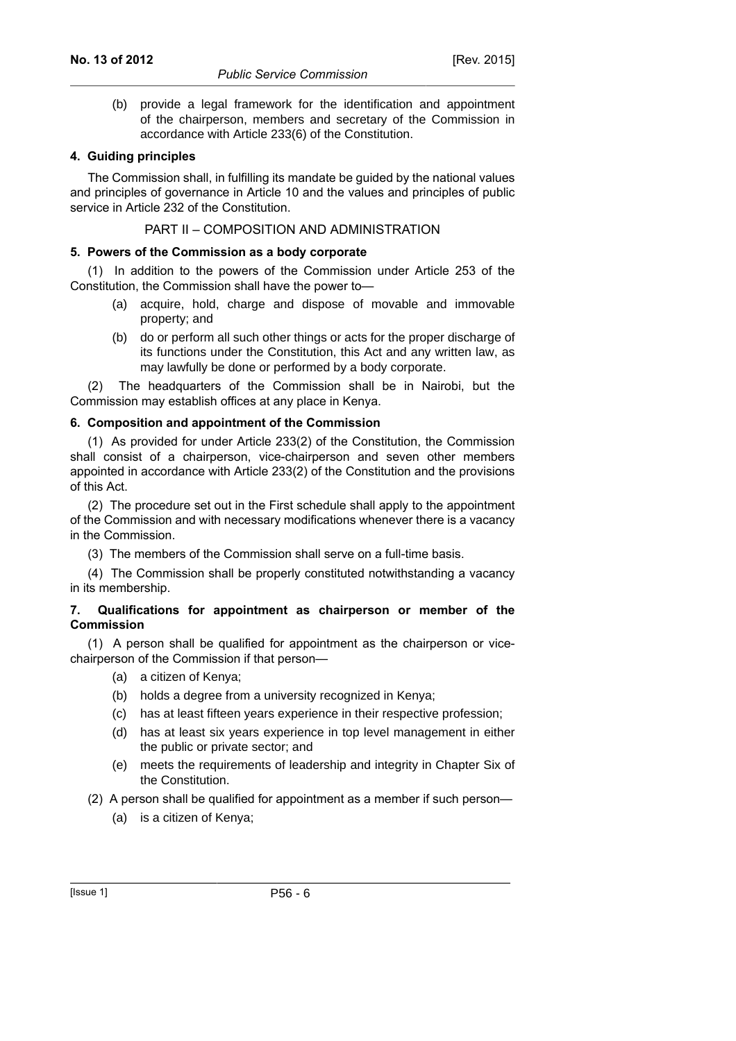(b) provide a legal framework for the identification and appointment of the chairperson, members and secretary of the Commission in accordance with Article 233(6) of the Constitution.

# **4. Guiding principles**

The Commission shall, in fulfilling its mandate be guided by the national values and principles of governance in Article 10 and the values and principles of public service in Article 232 of the Constitution.

#### PART II – COMPOSITION AND ADMINISTRATION

# **5. Powers of the Commission as a body corporate**

(1) In addition to the powers of the Commission under Article 253 of the Constitution, the Commission shall have the power to—

- (a) acquire, hold, charge and dispose of movable and immovable property; and
- (b) do or perform all such other things or acts for the proper discharge of its functions under the Constitution, this Act and any written law, as may lawfully be done or performed by a body corporate.

(2) The headquarters of the Commission shall be in Nairobi, but the Commission may establish offices at any place in Kenya.

# **6. Composition and appointment of the Commission**

(1) As provided for under Article 233(2) of the Constitution, the Commission shall consist of a chairperson, vice-chairperson and seven other members appointed in accordance with Article 233(2) of the Constitution and the provisions of this Act.

(2) The procedure set out in the First schedule shall apply to the appointment of the Commission and with necessary modifications whenever there is a vacancy in the Commission.

(3) The members of the Commission shall serve on a full-time basis.

(4) The Commission shall be properly constituted notwithstanding a vacancy in its membership.

#### **7. Qualifications for appointment as chairperson or member of the Commission**

(1) A person shall be qualified for appointment as the chairperson or vicechairperson of the Commission if that person—

- (a) a citizen of Kenya;
- (b) holds a degree from a university recognized in Kenya;
- (c) has at least fifteen years experience in their respective profession;
- (d) has at least six years experience in top level management in either the public or private sector; and
- (e) meets the requirements of leadership and integrity in Chapter Six of the Constitution.
- (2) A person shall be qualified for appointment as a member if such person—
	- (a) is a citizen of Kenya;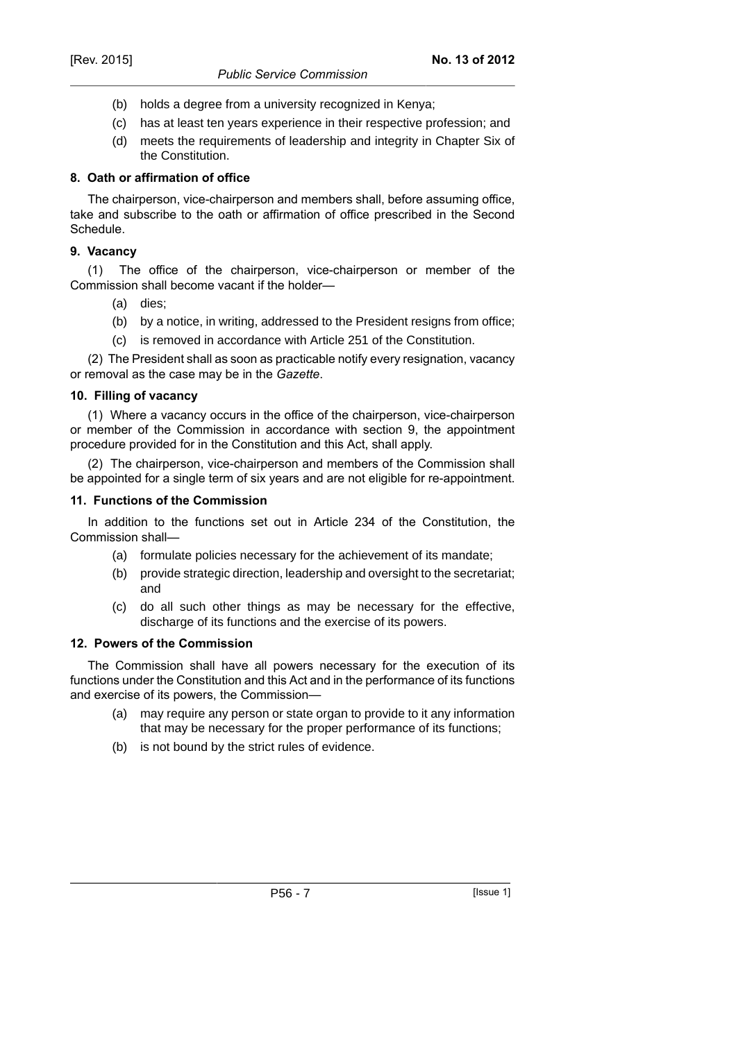- (b) holds a degree from a university recognized in Kenya;
- (c) has at least ten years experience in their respective profession; and
- (d) meets the requirements of leadership and integrity in Chapter Six of the Constitution.

# **8. Oath or affirmation of office**

The chairperson, vice-chairperson and members shall, before assuming office, take and subscribe to the oath or affirmation of office prescribed in the Second Schedule.

# **9. Vacancy**

(1) The office of the chairperson, vice-chairperson or member of the Commission shall become vacant if the holder—

- (a) dies;
- (b) by a notice, in writing, addressed to the President resigns from office;
- (c) is removed in accordance with Article 251 of the Constitution.

(2) The President shall as soon as practicable notify every resignation, vacancy or removal as the case may be in the *Gazette*.

# **10. Filling of vacancy**

(1) Where a vacancy occurs in the office of the chairperson, vice-chairperson or member of the Commission in accordance with section 9, the appointment procedure provided for in the Constitution and this Act, shall apply.

(2) The chairperson, vice-chairperson and members of the Commission shall be appointed for a single term of six years and are not eligible for re-appointment.

# **11. Functions of the Commission**

In addition to the functions set out in Article 234 of the Constitution, the Commission shall—

- (a) formulate policies necessary for the achievement of its mandate;
- (b) provide strategic direction, leadership and oversight to the secretariat; and
- (c) do all such other things as may be necessary for the effective, discharge of its functions and the exercise of its powers.

#### **12. Powers of the Commission**

The Commission shall have all powers necessary for the execution of its functions under the Constitution and this Act and in the performance of its functions and exercise of its powers, the Commission—

- (a) may require any person or state organ to provide to it any information that may be necessary for the proper performance of its functions;
- (b) is not bound by the strict rules of evidence.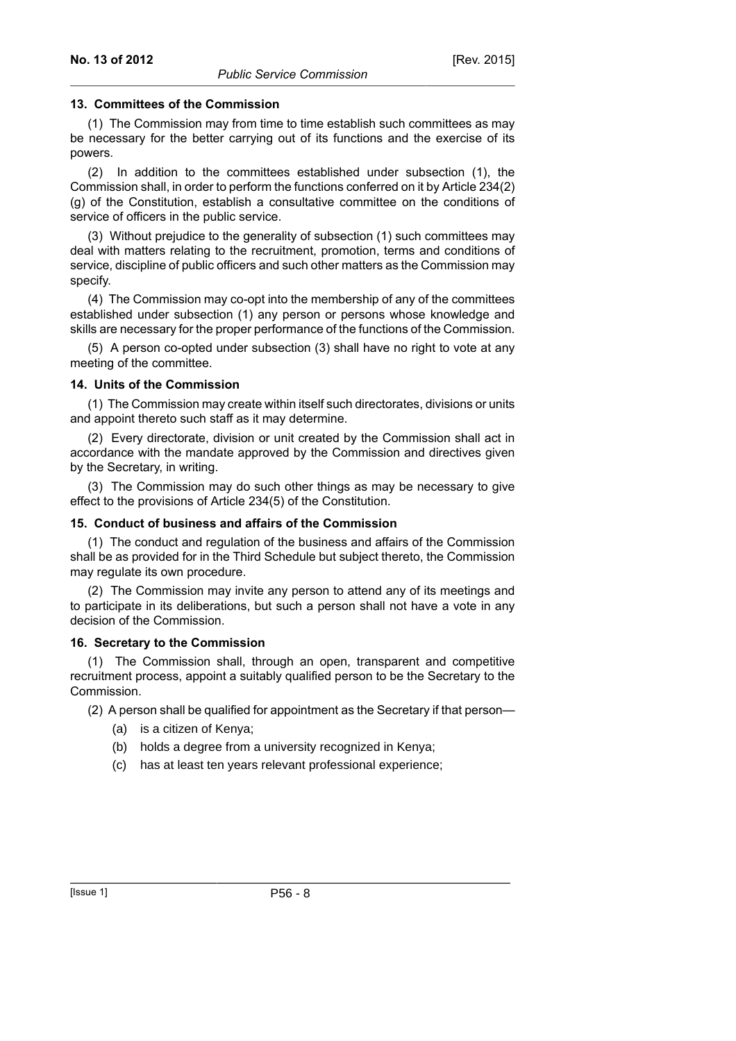#### **13. Committees of the Commission**

(1) The Commission may from time to time establish such committees as may be necessary for the better carrying out of its functions and the exercise of its powers.

(2) In addition to the committees established under subsection (1), the Commission shall, in order to perform the functions conferred on it by Article 234(2) (g) of the Constitution, establish a consultative committee on the conditions of service of officers in the public service.

(3) Without prejudice to the generality of subsection (1) such committees may deal with matters relating to the recruitment, promotion, terms and conditions of service, discipline of public officers and such other matters as the Commission may specify.

(4) The Commission may co-opt into the membership of any of the committees established under subsection (1) any person or persons whose knowledge and skills are necessary for the proper performance of the functions of the Commission.

(5) A person co-opted under subsection (3) shall have no right to vote at any meeting of the committee.

#### **14. Units of the Commission**

(1) The Commission may create within itself such directorates, divisions or units and appoint thereto such staff as it may determine.

(2) Every directorate, division or unit created by the Commission shall act in accordance with the mandate approved by the Commission and directives given by the Secretary, in writing.

(3) The Commission may do such other things as may be necessary to give effect to the provisions of Article 234(5) of the Constitution.

#### **15. Conduct of business and affairs of the Commission**

(1) The conduct and regulation of the business and affairs of the Commission shall be as provided for in the Third Schedule but subject thereto, the Commission may regulate its own procedure.

(2) The Commission may invite any person to attend any of its meetings and to participate in its deliberations, but such a person shall not have a vote in any decision of the Commission.

#### **16. Secretary to the Commission**

(1) The Commission shall, through an open, transparent and competitive recruitment process, appoint a suitably qualified person to be the Secretary to the Commission.

(2) A person shall be qualified for appointment as the Secretary if that person—

- (a) is a citizen of Kenya;
- (b) holds a degree from a university recognized in Kenya;
- (c) has at least ten years relevant professional experience;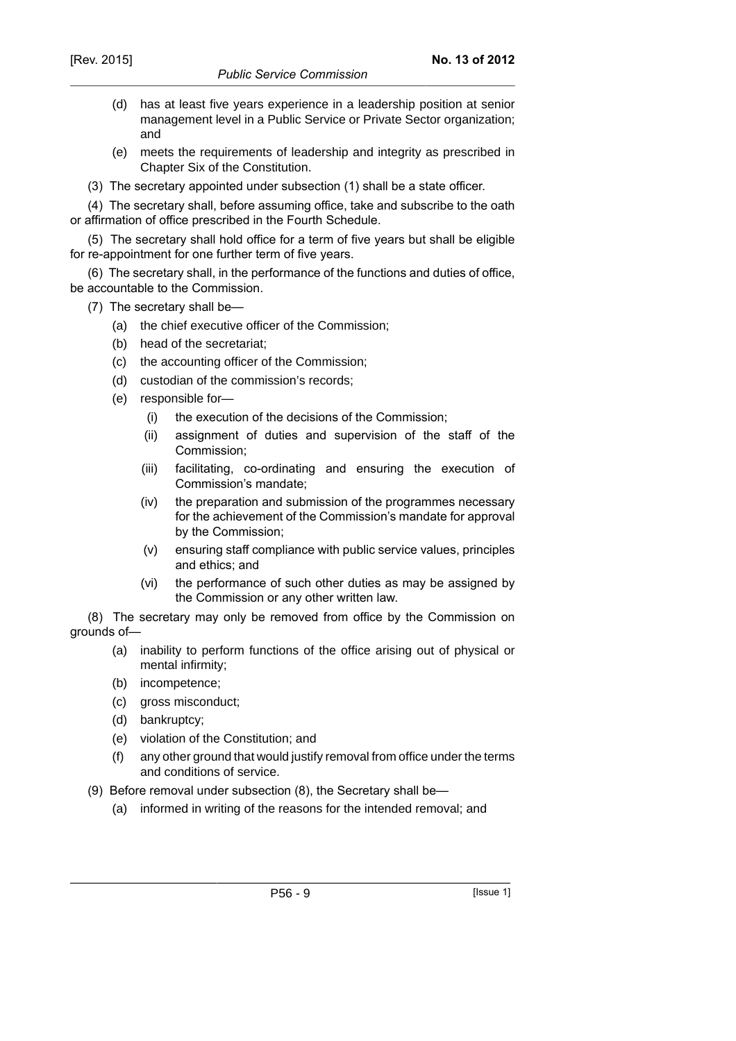- (d) has at least five years experience in a leadership position at senior management level in a Public Service or Private Sector organization; and
- (e) meets the requirements of leadership and integrity as prescribed in Chapter Six of the Constitution.
- (3) The secretary appointed under subsection (1) shall be a state officer.

(4) The secretary shall, before assuming office, take and subscribe to the oath or affirmation of office prescribed in the Fourth Schedule.

(5) The secretary shall hold office for a term of five years but shall be eligible for re-appointment for one further term of five years.

(6) The secretary shall, in the performance of the functions and duties of office, be accountable to the Commission.

- (7) The secretary shall be—
	- (a) the chief executive officer of the Commission;
	- (b) head of the secretariat;
	- (c) the accounting officer of the Commission;
	- (d) custodian of the commission's records;
	- (e) responsible for—
		- (i) the execution of the decisions of the Commission;
		- (ii) assignment of duties and supervision of the staff of the Commission;
		- (iii) facilitating, co-ordinating and ensuring the execution of Commission's mandate;
		- (iv) the preparation and submission of the programmes necessary for the achievement of the Commission's mandate for approval by the Commission;
		- (v) ensuring staff compliance with public service values, principles and ethics; and
		- (vi) the performance of such other duties as may be assigned by the Commission or any other written law.

(8) The secretary may only be removed from office by the Commission on grounds of—

- (a) inability to perform functions of the office arising out of physical or mental infirmity;
- (b) incompetence;
- (c) gross misconduct;
- (d) bankruptcy;
- (e) violation of the Constitution; and
- (f) any other ground that would justify removal from office under the terms and conditions of service.
- (9) Before removal under subsection (8), the Secretary shall be—
	- (a) informed in writing of the reasons for the intended removal; and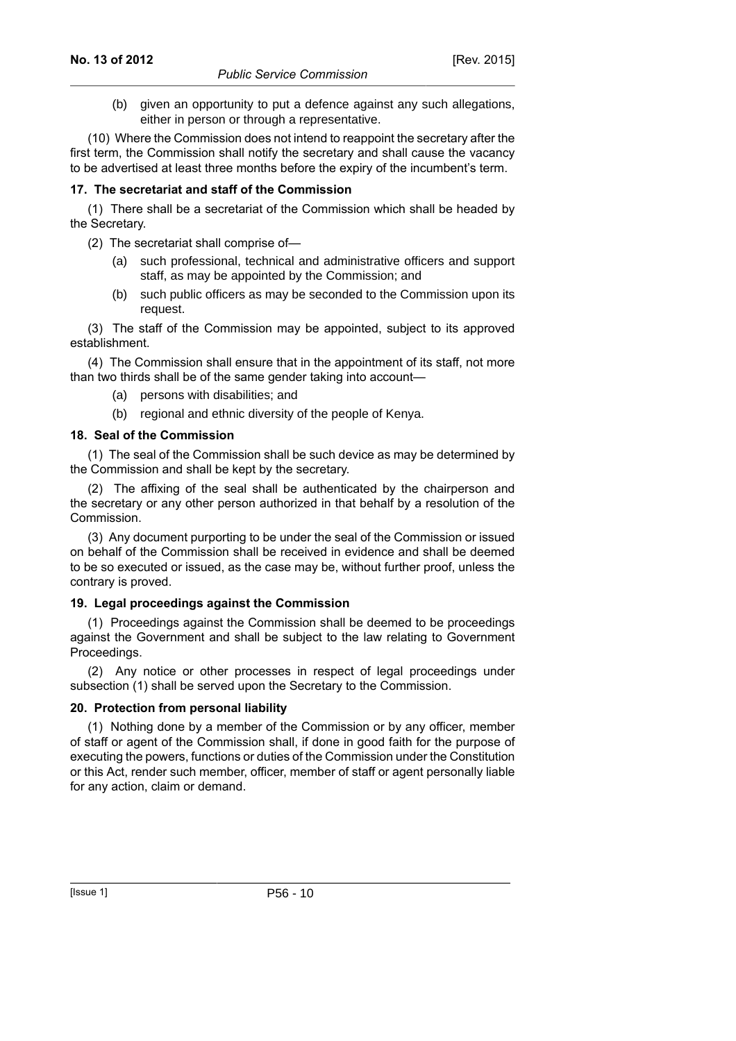(b) given an opportunity to put a defence against any such allegations, either in person or through a representative.

(10) Where the Commission does not intend to reappoint the secretary after the first term, the Commission shall notify the secretary and shall cause the vacancy to be advertised at least three months before the expiry of the incumbent's term.

# **17. The secretariat and staff of the Commission**

(1) There shall be a secretariat of the Commission which shall be headed by the Secretary.

- (2) The secretariat shall comprise of—
	- (a) such professional, technical and administrative officers and support staff, as may be appointed by the Commission; and
	- (b) such public officers as may be seconded to the Commission upon its request.

(3) The staff of the Commission may be appointed, subject to its approved establishment.

(4) The Commission shall ensure that in the appointment of its staff, not more than two thirds shall be of the same gender taking into account—

- (a) persons with disabilities; and
- (b) regional and ethnic diversity of the people of Kenya.

# **18. Seal of the Commission**

(1) The seal of the Commission shall be such device as may be determined by the Commission and shall be kept by the secretary.

(2) The affixing of the seal shall be authenticated by the chairperson and the secretary or any other person authorized in that behalf by a resolution of the Commission.

(3) Any document purporting to be under the seal of the Commission or issued on behalf of the Commission shall be received in evidence and shall be deemed to be so executed or issued, as the case may be, without further proof, unless the contrary is proved.

#### **19. Legal proceedings against the Commission**

(1) Proceedings against the Commission shall be deemed to be proceedings against the Government and shall be subject to the law relating to Government Proceedings.

(2) Any notice or other processes in respect of legal proceedings under subsection (1) shall be served upon the Secretary to the Commission.

# **20. Protection from personal liability**

(1) Nothing done by a member of the Commission or by any officer, member of staff or agent of the Commission shall, if done in good faith for the purpose of executing the powers, functions or duties of the Commission under the Constitution or this Act, render such member, officer, member of staff or agent personally liable for any action, claim or demand.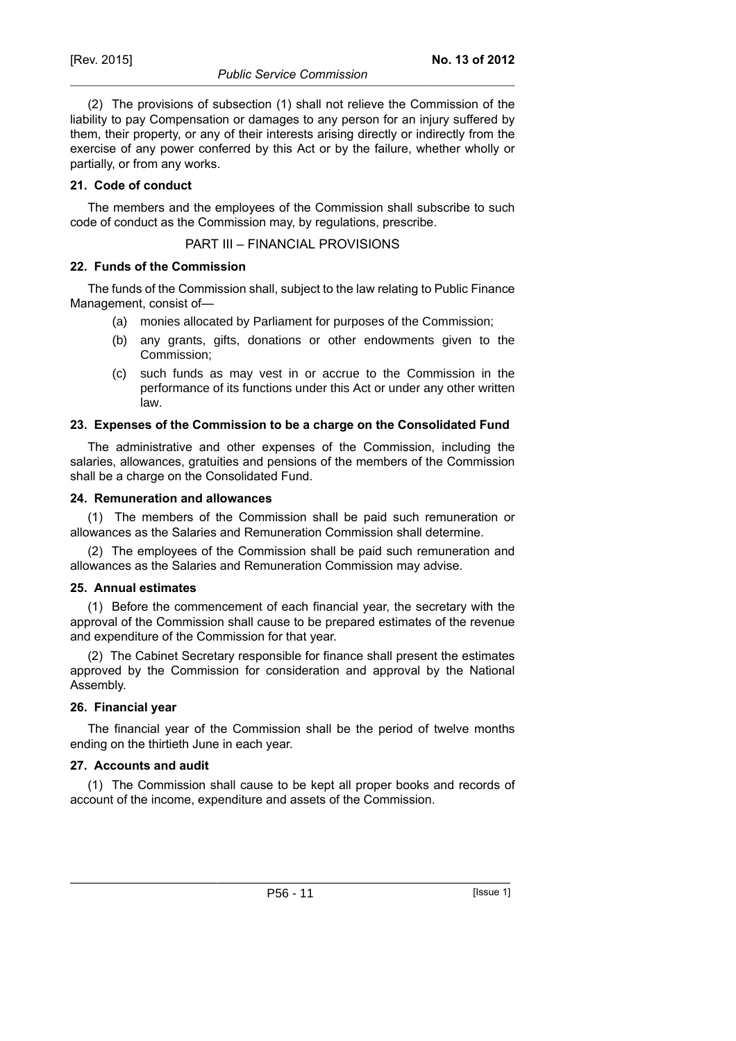(2) The provisions of subsection (1) shall not relieve the Commission of the liability to pay Compensation or damages to any person for an injury suffered by them, their property, or any of their interests arising directly or indirectly from the exercise of any power conferred by this Act or by the failure, whether wholly or partially, or from any works.

# **21. Code of conduct**

The members and the employees of the Commission shall subscribe to such code of conduct as the Commission may, by regulations, prescribe.

PART III – FINANCIAL PROVISIONS

# **22. Funds of the Commission**

The funds of the Commission shall, subject to the law relating to Public Finance Management, consist of—

- (a) monies allocated by Parliament for purposes of the Commission;
- (b) any grants, gifts, donations or other endowments given to the Commission;
- (c) such funds as may vest in or accrue to the Commission in the performance of its functions under this Act or under any other written law.

# **23. Expenses of the Commission to be a charge on the Consolidated Fund**

The administrative and other expenses of the Commission, including the salaries, allowances, gratuities and pensions of the members of the Commission shall be a charge on the Consolidated Fund.

#### **24. Remuneration and allowances**

(1) The members of the Commission shall be paid such remuneration or allowances as the Salaries and Remuneration Commission shall determine.

(2) The employees of the Commission shall be paid such remuneration and allowances as the Salaries and Remuneration Commission may advise.

# **25. Annual estimates**

(1) Before the commencement of each financial year, the secretary with the approval of the Commission shall cause to be prepared estimates of the revenue and expenditure of the Commission for that year.

(2) The Cabinet Secretary responsible for finance shall present the estimates approved by the Commission for consideration and approval by the National Assembly.

# **26. Financial year**

The financial year of the Commission shall be the period of twelve months ending on the thirtieth June in each year.

# **27. Accounts and audit**

(1) The Commission shall cause to be kept all proper books and records of account of the income, expenditure and assets of the Commission.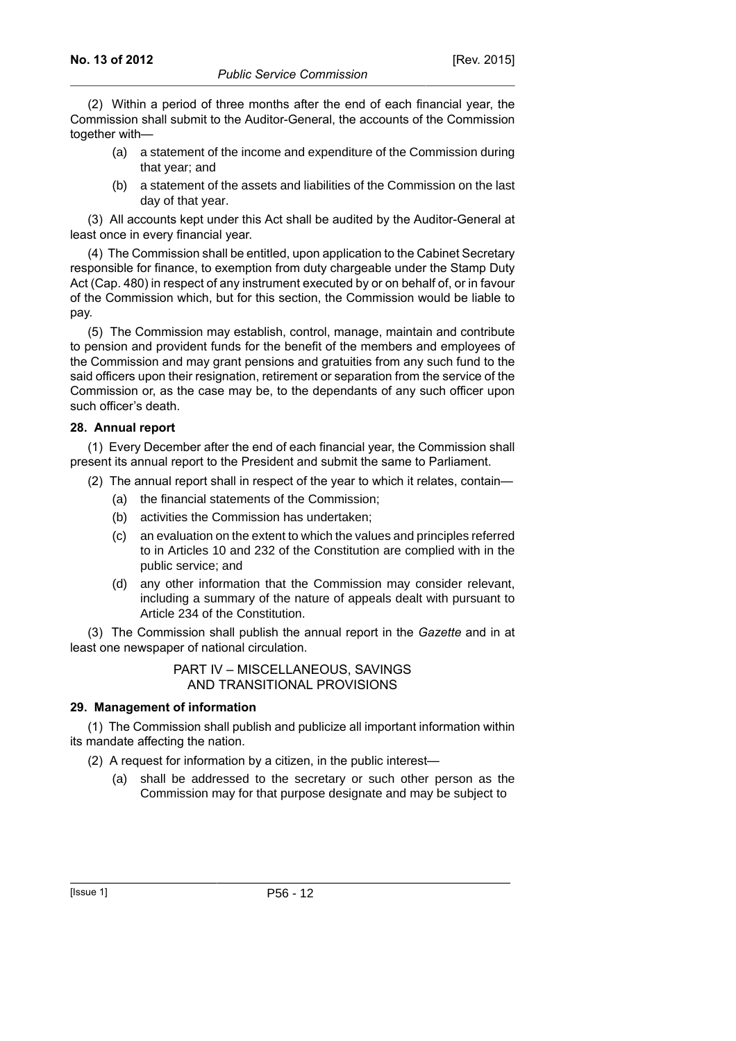(2) Within a period of three months after the end of each financial year, the Commission shall submit to the Auditor-General, the accounts of the Commission together with—

- (a) a statement of the income and expenditure of the Commission during that year; and
- (b) a statement of the assets and liabilities of the Commission on the last day of that year.

(3) All accounts kept under this Act shall be audited by the Auditor-General at least once in every financial year.

(4) The Commission shall be entitled, upon application to the Cabinet Secretary responsible for finance, to exemption from duty chargeable under the Stamp Duty Act (Cap. 480) in respect of any instrument executed by or on behalf of, or in favour of the Commission which, but for this section, the Commission would be liable to pay.

(5) The Commission may establish, control, manage, maintain and contribute to pension and provident funds for the benefit of the members and employees of the Commission and may grant pensions and gratuities from any such fund to the said officers upon their resignation, retirement or separation from the service of the Commission or, as the case may be, to the dependants of any such officer upon such officer's death.

# **28. Annual report**

(1) Every December after the end of each financial year, the Commission shall present its annual report to the President and submit the same to Parliament.

- (2) The annual report shall in respect of the year to which it relates, contain—
	- (a) the financial statements of the Commission;
	- (b) activities the Commission has undertaken;
	- (c) an evaluation on the extent to which the values and principles referred to in Articles 10 and 232 of the Constitution are complied with in the public service; and
	- (d) any other information that the Commission may consider relevant, including a summary of the nature of appeals dealt with pursuant to Article 234 of the Constitution.

(3) The Commission shall publish the annual report in the *Gazette* and in at least one newspaper of national circulation.

# PART IV – MISCELLANEOUS, SAVINGS AND TRANSITIONAL PROVISIONS

# **29. Management of information**

(1) The Commission shall publish and publicize all important information within its mandate affecting the nation.

(2) A request for information by a citizen, in the public interest—

(a) shall be addressed to the secretary or such other person as the Commission may for that purpose designate and may be subject to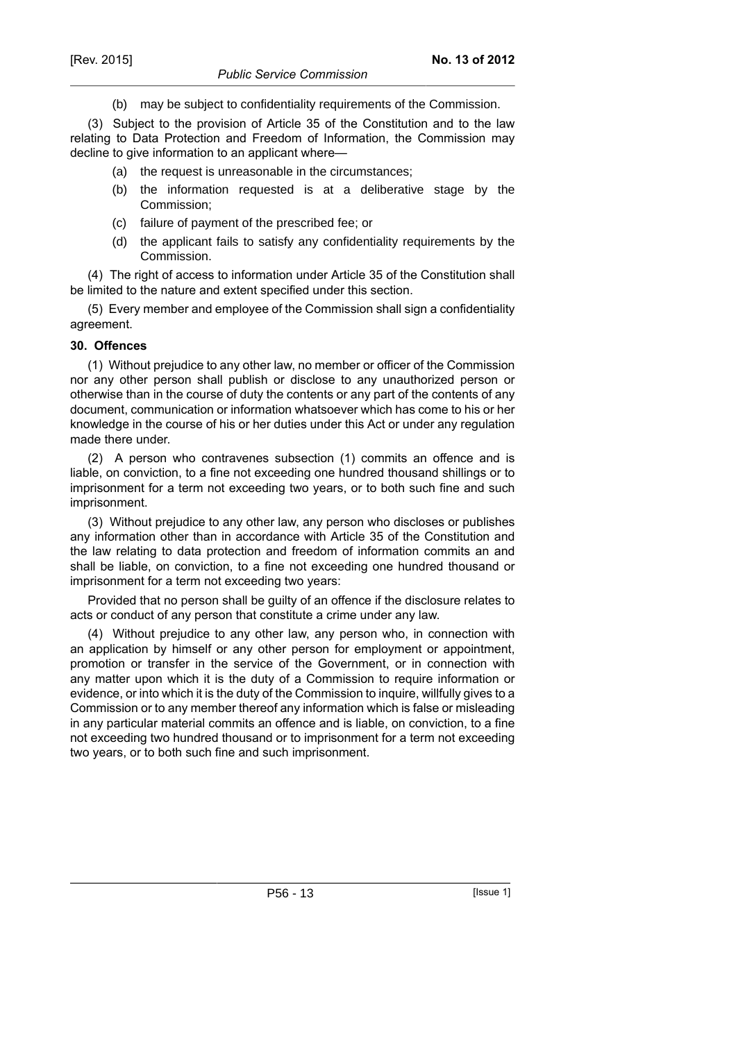(b) may be subject to confidentiality requirements of the Commission.

(3) Subject to the provision of Article 35 of the Constitution and to the law relating to Data Protection and Freedom of Information, the Commission may decline to give information to an applicant where—

- (a) the request is unreasonable in the circumstances;
- (b) the information requested is at a deliberative stage by the Commission;
- (c) failure of payment of the prescribed fee; or
- (d) the applicant fails to satisfy any confidentiality requirements by the Commission.

(4) The right of access to information under Article 35 of the Constitution shall be limited to the nature and extent specified under this section.

(5) Every member and employee of the Commission shall sign a confidentiality agreement.

#### **30. Offences**

(1) Without prejudice to any other law, no member or officer of the Commission nor any other person shall publish or disclose to any unauthorized person or otherwise than in the course of duty the contents or any part of the contents of any document, communication or information whatsoever which has come to his or her knowledge in the course of his or her duties under this Act or under any regulation made there under.

(2) A person who contravenes subsection (1) commits an offence and is liable, on conviction, to a fine not exceeding one hundred thousand shillings or to imprisonment for a term not exceeding two years, or to both such fine and such imprisonment.

(3) Without prejudice to any other law, any person who discloses or publishes any information other than in accordance with Article 35 of the Constitution and the law relating to data protection and freedom of information commits an and shall be liable, on conviction, to a fine not exceeding one hundred thousand or imprisonment for a term not exceeding two years:

Provided that no person shall be guilty of an offence if the disclosure relates to acts or conduct of any person that constitute a crime under any law.

(4) Without prejudice to any other law, any person who, in connection with an application by himself or any other person for employment or appointment, promotion or transfer in the service of the Government, or in connection with any matter upon which it is the duty of a Commission to require information or evidence, or into which it is the duty of the Commission to inquire, willfully gives to a Commission or to any member thereof any information which is false or misleading in any particular material commits an offence and is liable, on conviction, to a fine not exceeding two hundred thousand or to imprisonment for a term not exceeding two years, or to both such fine and such imprisonment.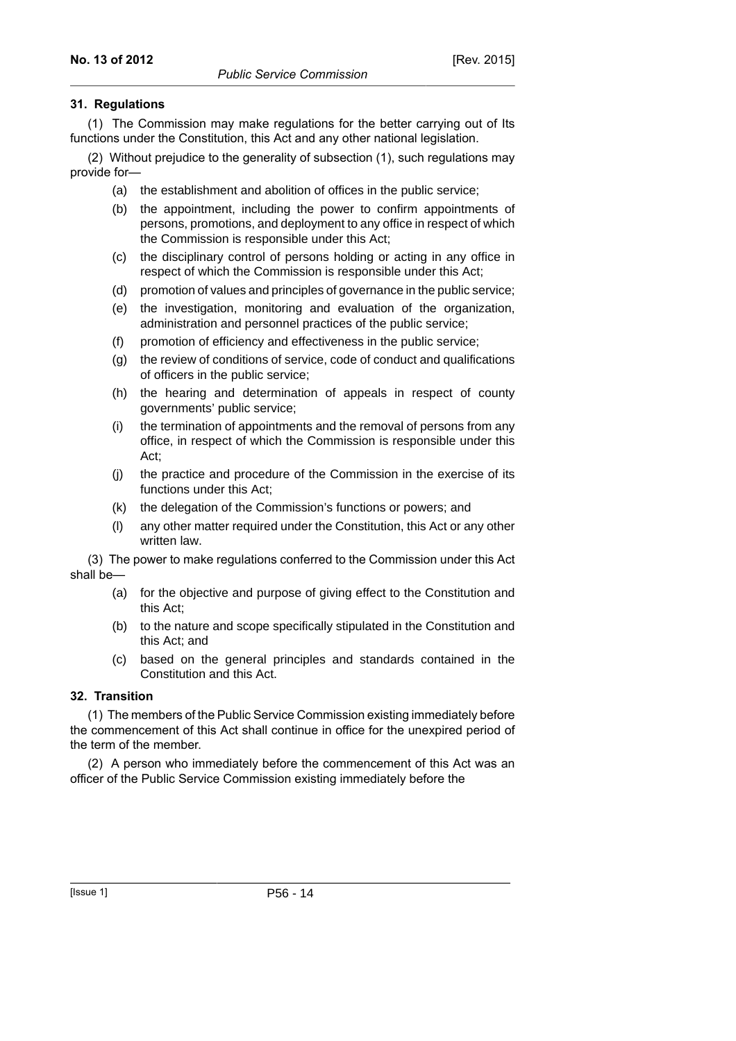# **31. Regulations**

(1) The Commission may make regulations for the better carrying out of Its functions under the Constitution, this Act and any other national legislation.

(2) Without prejudice to the generality of subsection (1), such regulations may provide for—

- (a) the establishment and abolition of offices in the public service;
- (b) the appointment, including the power to confirm appointments of persons, promotions, and deployment to any office in respect of which the Commission is responsible under this Act;
- (c) the disciplinary control of persons holding or acting in any office in respect of which the Commission is responsible under this Act;
- (d) promotion of values and principles of governance in the public service;
- (e) the investigation, monitoring and evaluation of the organization, administration and personnel practices of the public service;
- (f) promotion of efficiency and effectiveness in the public service;
- (g) the review of conditions of service, code of conduct and qualifications of officers in the public service;
- (h) the hearing and determination of appeals in respect of county governments' public service;
- (i) the termination of appointments and the removal of persons from any office, in respect of which the Commission is responsible under this Act;
- (j) the practice and procedure of the Commission in the exercise of its functions under this Act;
- (k) the delegation of the Commission's functions or powers; and
- (l) any other matter required under the Constitution, this Act or any other written law.

(3) The power to make regulations conferred to the Commission under this Act shall be—

- (a) for the objective and purpose of giving effect to the Constitution and this Act;
- (b) to the nature and scope specifically stipulated in the Constitution and this Act; and
- (c) based on the general principles and standards contained in the Constitution and this Act.

# **32. Transition**

(1) The members of the Public Service Commission existing immediately before the commencement of this Act shall continue in office for the unexpired period of the term of the member.

(2) A person who immediately before the commencement of this Act was an officer of the Public Service Commission existing immediately before the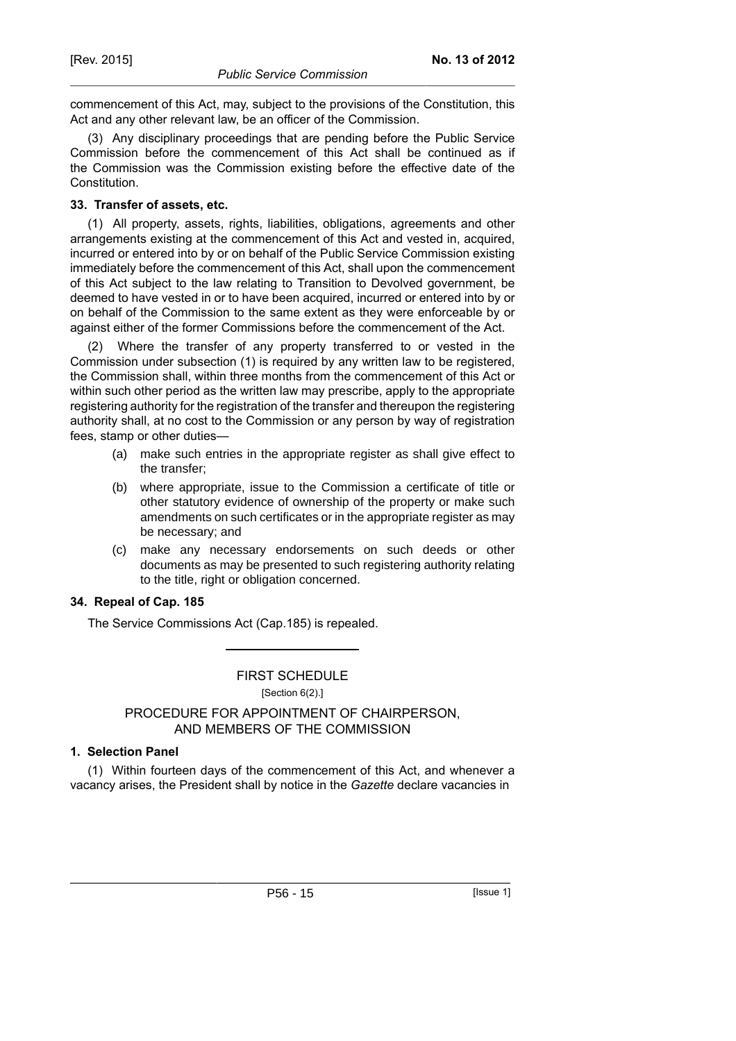commencement of this Act, may, subject to the provisions of the Constitution, this Act and any other relevant law, be an officer of the Commission.

(3) Any disciplinary proceedings that are pending before the Public Service Commission before the commencement of this Act shall be continued as if the Commission was the Commission existing before the effective date of the Constitution.

#### **33. Transfer of assets, etc.**

(1) All property, assets, rights, liabilities, obligations, agreements and other arrangements existing at the commencement of this Act and vested in, acquired, incurred or entered into by or on behalf of the Public Service Commission existing immediately before the commencement of this Act, shall upon the commencement of this Act subject to the law relating to Transition to Devolved government, be deemed to have vested in or to have been acquired, incurred or entered into by or on behalf of the Commission to the same extent as they were enforceable by or against either of the former Commissions before the commencement of the Act.

(2) Where the transfer of any property transferred to or vested in the Commission under subsection (1) is required by any written law to be registered, the Commission shall, within three months from the commencement of this Act or within such other period as the written law may prescribe, apply to the appropriate registering authority for the registration of the transfer and thereupon the registering authority shall, at no cost to the Commission or any person by way of registration fees, stamp or other duties—

- (a) make such entries in the appropriate register as shall give effect to the transfer;
- (b) where appropriate, issue to the Commission a certificate of title or other statutory evidence of ownership of the property or make such amendments on such certificates or in the appropriate register as may be necessary; and
- (c) make any necessary endorsements on such deeds or other documents as may be presented to such registering authority relating to the title, right or obligation concerned.

#### **34. Repeal of Cap. 185**

The Service Commissions Act (Cap.185) is repealed.

# FIRST SCHEDULE

[Section 6(2).]

# PROCEDURE FOR APPOINTMENT OF CHAIRPERSON, AND MEMBERS OF THE COMMISSION

# **1. Selection Panel**

(1) Within fourteen days of the commencement of this Act, and whenever a vacancy arises, the President shall by notice in the *Gazette* declare vacancies in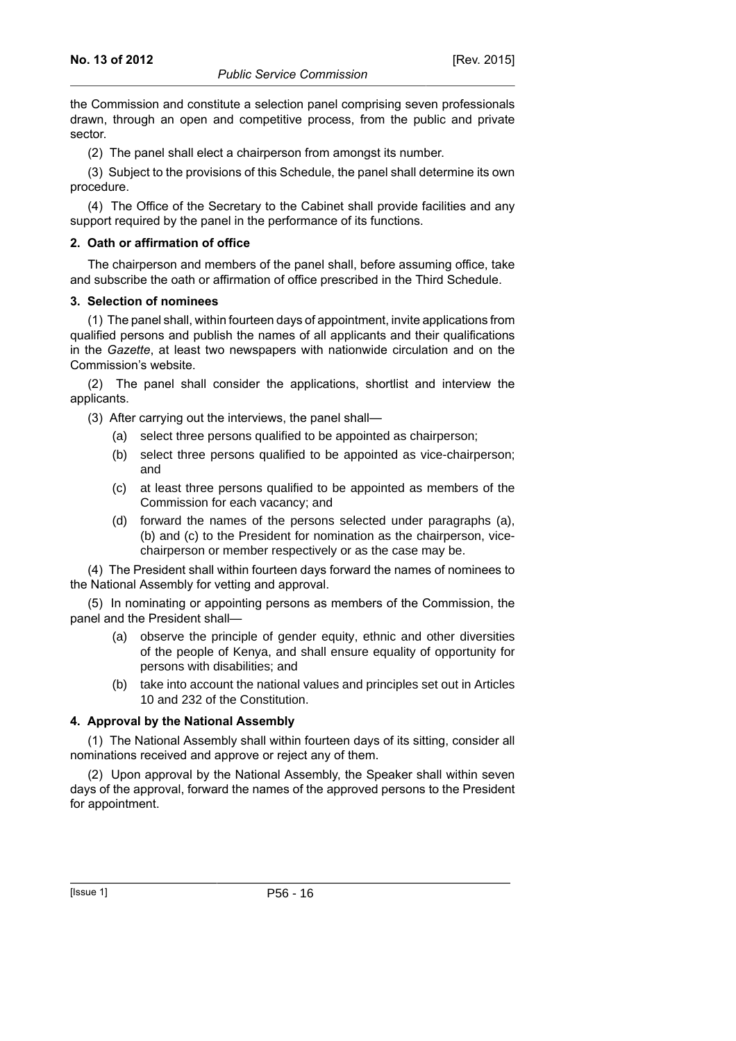the Commission and constitute a selection panel comprising seven professionals drawn, through an open and competitive process, from the public and private sector.

(2) The panel shall elect a chairperson from amongst its number.

(3) Subject to the provisions of this Schedule, the panel shall determine its own procedure.

(4) The Office of the Secretary to the Cabinet shall provide facilities and any support required by the panel in the performance of its functions.

# **2. Oath or affirmation of office**

The chairperson and members of the panel shall, before assuming office, take and subscribe the oath or affirmation of office prescribed in the Third Schedule.

# **3. Selection of nominees**

(1) The panel shall, within fourteen days of appointment, invite applications from qualified persons and publish the names of all applicants and their qualifications in the *Gazette*, at least two newspapers with nationwide circulation and on the Commission's website.

(2) The panel shall consider the applications, shortlist and interview the applicants.

(3) After carrying out the interviews, the panel shall—

- (a) select three persons qualified to be appointed as chairperson;
- (b) select three persons qualified to be appointed as vice-chairperson; and
- (c) at least three persons qualified to be appointed as members of the Commission for each vacancy; and
- (d) forward the names of the persons selected under paragraphs (a), (b) and (c) to the President for nomination as the chairperson, vicechairperson or member respectively or as the case may be.

(4) The President shall within fourteen days forward the names of nominees to the National Assembly for vetting and approval.

(5) In nominating or appointing persons as members of the Commission, the panel and the President shall—

- (a) observe the principle of gender equity, ethnic and other diversities of the people of Kenya, and shall ensure equality of opportunity for persons with disabilities; and
- (b) take into account the national values and principles set out in Articles 10 and 232 of the Constitution.

# **4. Approval by the National Assembly**

(1) The National Assembly shall within fourteen days of its sitting, consider all nominations received and approve or reject any of them.

(2) Upon approval by the National Assembly, the Speaker shall within seven days of the approval, forward the names of the approved persons to the President for appointment.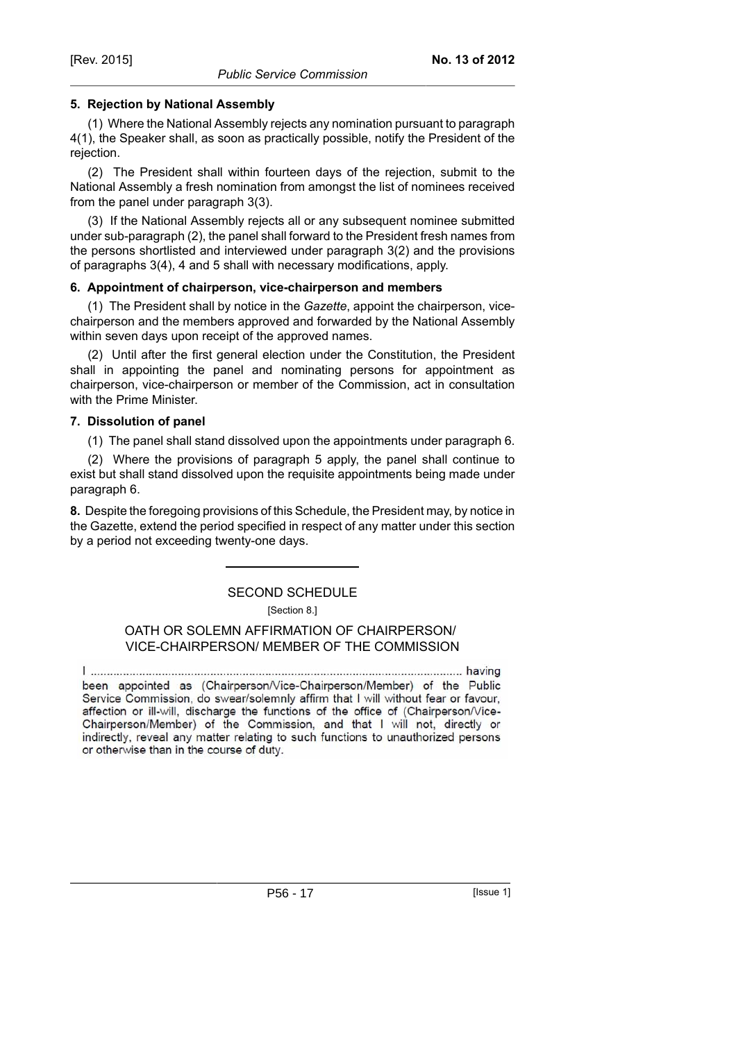# **5. Rejection by National Assembly**

(1) Where the National Assembly rejects any nomination pursuant to paragraph 4(1), the Speaker shall, as soon as practically possible, notify the President of the rejection.

(2) The President shall within fourteen days of the rejection, submit to the National Assembly a fresh nomination from amongst the list of nominees received from the panel under paragraph 3(3).

(3) If the National Assembly rejects all or any subsequent nominee submitted under sub-paragraph (2), the panel shall forward to the President fresh names from the persons shortlisted and interviewed under paragraph 3(2) and the provisions of paragraphs 3(4), 4 and 5 shall with necessary modifications, apply.

#### **6. Appointment of chairperson, vice-chairperson and members**

(1) The President shall by notice in the *Gazette*, appoint the chairperson, vicechairperson and the members approved and forwarded by the National Assembly within seven days upon receipt of the approved names.

(2) Until after the first general election under the Constitution, the President shall in appointing the panel and nominating persons for appointment as chairperson, vice-chairperson or member of the Commission, act in consultation with the Prime Minister.

#### **7. Dissolution of panel**

(1) The panel shall stand dissolved upon the appointments under paragraph 6.

(2) Where the provisions of paragraph 5 apply, the panel shall continue to exist but shall stand dissolved upon the requisite appointments being made under paragraph 6.

**8.** Despite the foregoing provisions of this Schedule, the President may, by notice in the Gazette, extend the period specified in respect of any matter under this section by a period not exceeding twenty-one days.

# SECOND SCHEDULE [Section 8.]

#### OATH OR SOLEMN AFFIRMATION OF CHAIRPERSON/ VICE-CHAIRPERSON/ MEMBER OF THE COMMISSION

been appointed as (Chairperson/Vice-Chairperson/Member) of the Public Service Commission, do swear/solemnly affirm that I will without fear or favour, affection or ill-will, discharge the functions of the office of (Chairperson/Vice-Chairperson/Member) of the Commission, and that I will not, directly or indirectly, reveal any matter relating to such functions to unauthorized persons or otherwise than in the course of duty.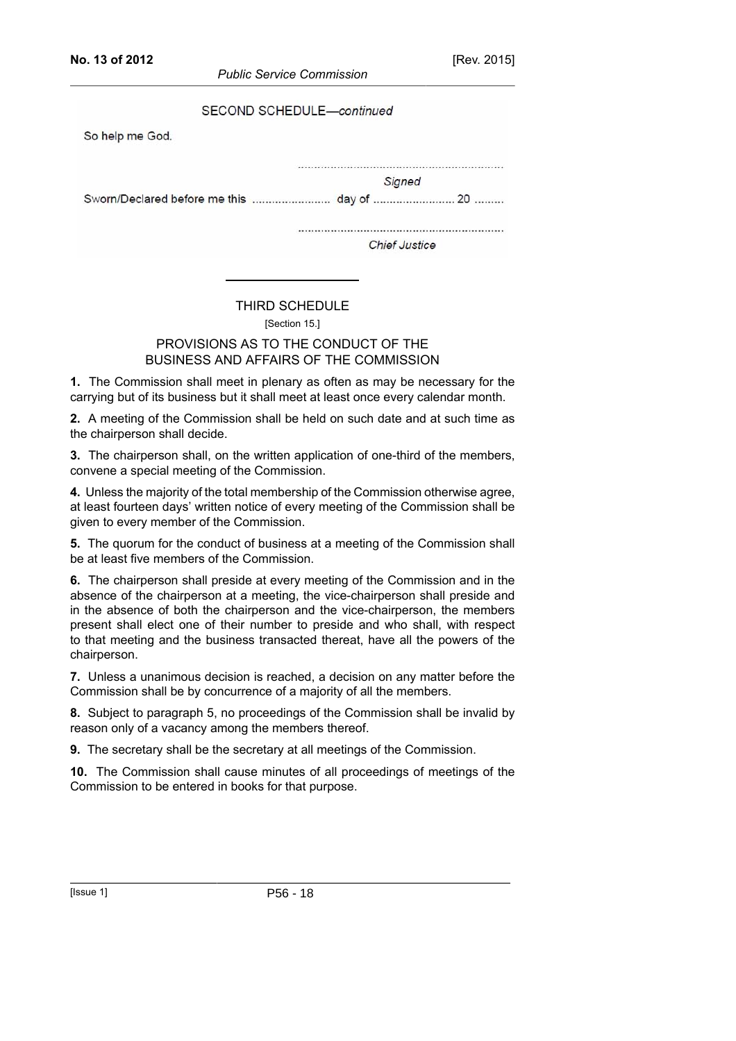| SECOND SCHEDULE-continued |  |
|---------------------------|--|
| So help me God.           |  |
| Signed                    |  |
|                           |  |
| <b>Chief Justice</b>      |  |
|                           |  |

# THIRD SCHEDULE

[Section 15.]

# PROVISIONS AS TO THE CONDUCT OF THE BUSINESS AND AFFAIRS OF THE COMMISSION

**1.** The Commission shall meet in plenary as often as may be necessary for the carrying but of its business but it shall meet at least once every calendar month.

**2.** A meeting of the Commission shall be held on such date and at such time as the chairperson shall decide.

**3.** The chairperson shall, on the written application of one-third of the members, convene a special meeting of the Commission.

**4.** Unless the majority of the total membership of the Commission otherwise agree, at least fourteen days' written notice of every meeting of the Commission shall be given to every member of the Commission.

**5.** The quorum for the conduct of business at a meeting of the Commission shall be at least five members of the Commission.

**6.** The chairperson shall preside at every meeting of the Commission and in the absence of the chairperson at a meeting, the vice-chairperson shall preside and in the absence of both the chairperson and the vice-chairperson, the members present shall elect one of their number to preside and who shall, with respect to that meeting and the business transacted thereat, have all the powers of the chairperson.

**7.** Unless a unanimous decision is reached, a decision on any matter before the Commission shall be by concurrence of a majority of all the members.

**8.** Subject to paragraph 5, no proceedings of the Commission shall be invalid by reason only of a vacancy among the members thereof.

**9.** The secretary shall be the secretary at all meetings of the Commission.

**10.** The Commission shall cause minutes of all proceedings of meetings of the Commission to be entered in books for that purpose.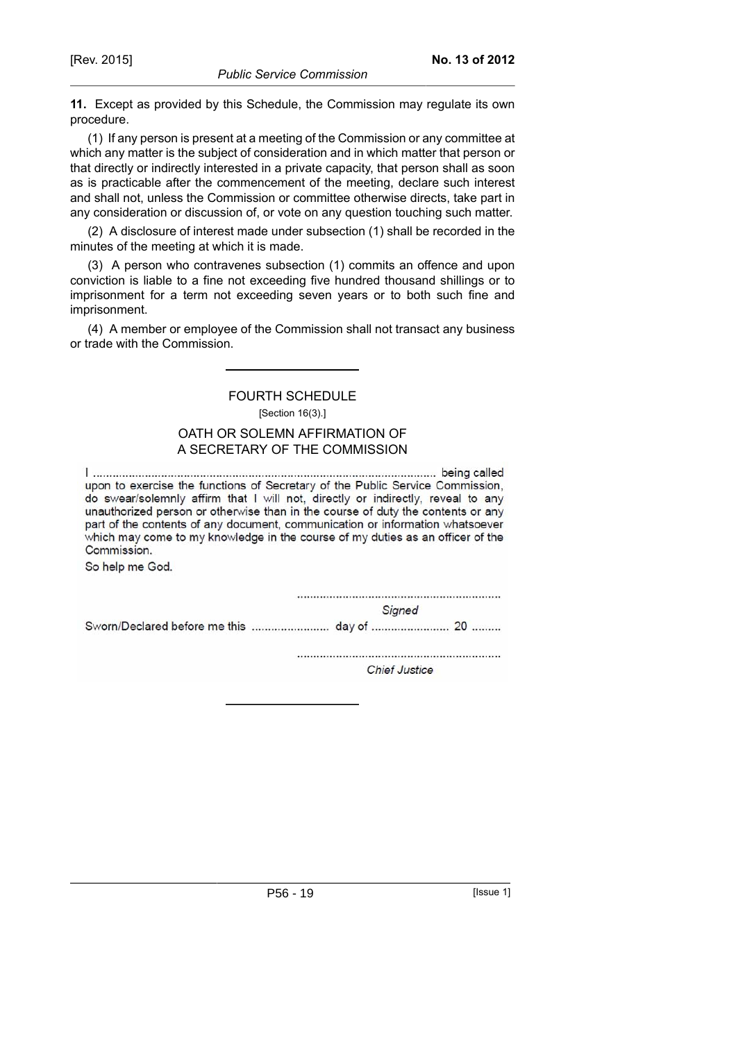**11.** Except as provided by this Schedule, the Commission may regulate its own procedure.

(1) If any person is present at a meeting of the Commission or any committee at which any matter is the subject of consideration and in which matter that person or that directly or indirectly interested in a private capacity, that person shall as soon as is practicable after the commencement of the meeting, declare such interest and shall not, unless the Commission or committee otherwise directs, take part in any consideration or discussion of, or vote on any question touching such matter.

(2) A disclosure of interest made under subsection (1) shall be recorded in the minutes of the meeting at which it is made.

(3) A person who contravenes subsection (1) commits an offence and upon conviction is liable to a fine not exceeding five hundred thousand shillings or to imprisonment for a term not exceeding seven years or to both such fine and imprisonment.

(4) A member or employee of the Commission shall not transact any business or trade with the Commission.

# FOURTH SCHEDULE

[Section 16(3).]

# OATH OR SOLEMN AFFIRMATION OF A SECRETARY OF THE COMMISSION

upon to exercise the functions of Secretary of the Public Service Commission, do swear/solemnly affirm that I will not, directly or indirectly, reveal to any unauthorized person or otherwise than in the course of duty the contents or any part of the contents of any document, communication or information whatsoever which may come to my knowledge in the course of my duties as an officer of the Commission.

So help me God.

**Signed** 

**Chief Justice** 

P56 - 19 [Issue 1]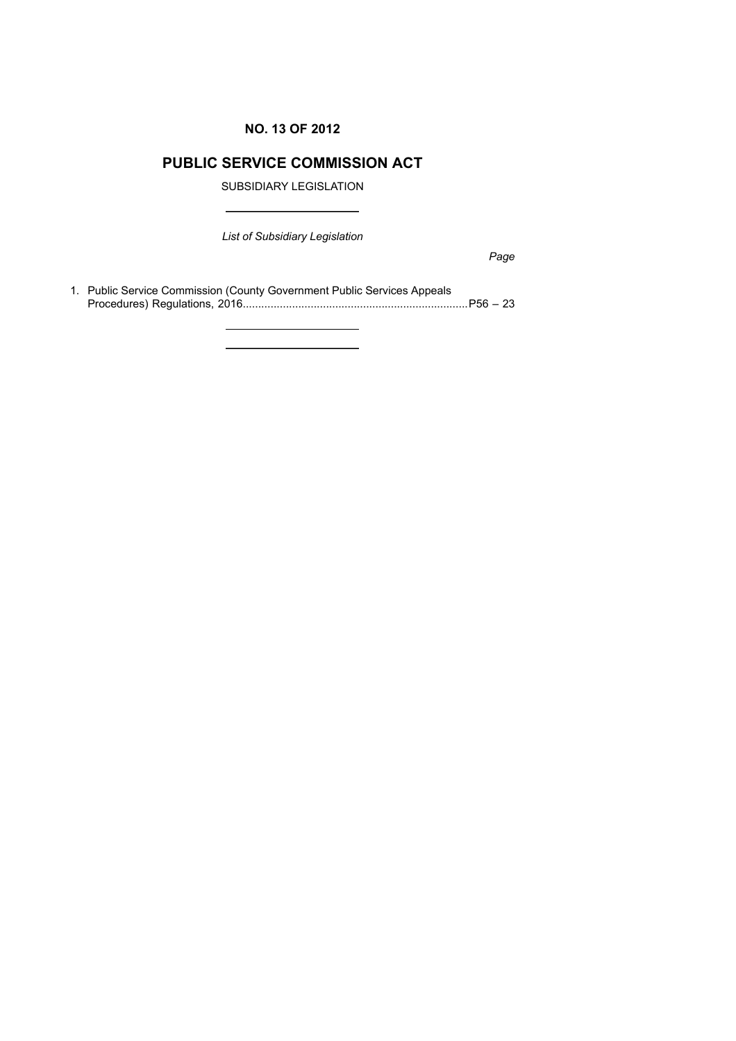# **NO. 13 OF 2012**

# **PUBLIC SERVICE COMMISSION ACT**

SUBSIDIARY LEGISLATION

*List of Subsidiary Legislation*

*Page*

1. Public Service Commission (County Government Public Services Appeals Procedures) Regulations, 2016.........................................................................P56 – 23

**Contract Contract Contract**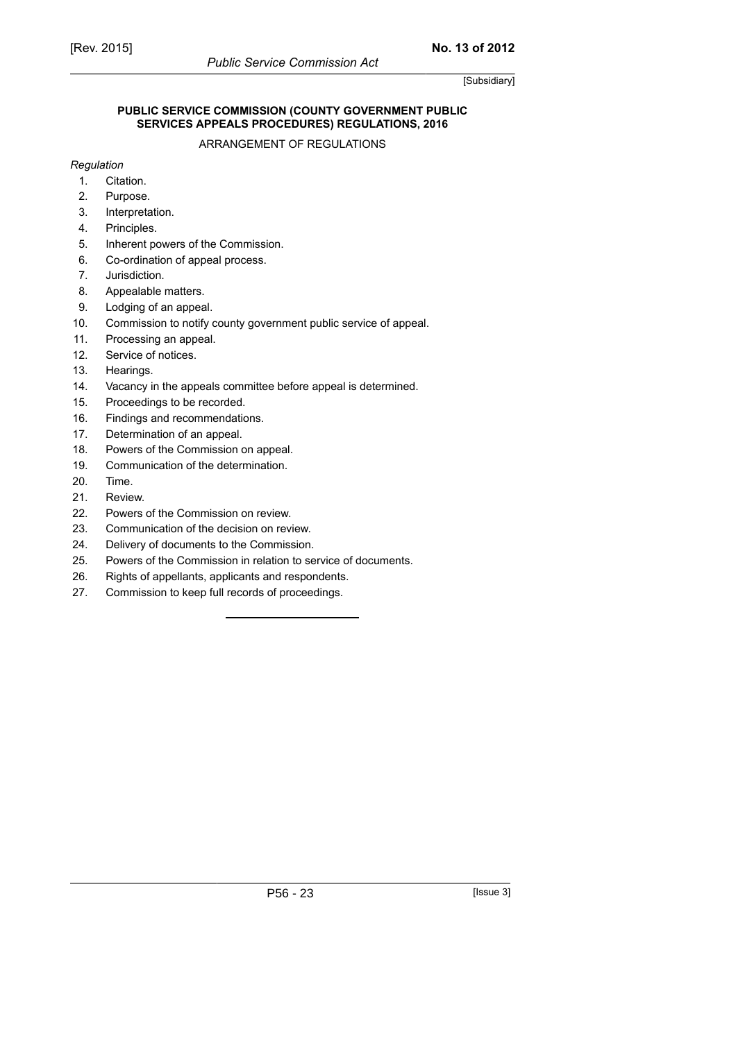#### **PUBLIC SERVICE COMMISSION (COUNTY GOVERNMENT PUBLIC SERVICES APPEALS PROCEDURES) REGULATIONS, 2016**

ARRANGEMENT OF REGULATIONS

#### *Regulation*

- 1. Citation.
- 2. Purpose.
- 3. Interpretation.
- 4. Principles.
- 5. Inherent powers of the Commission.
- 6. Co-ordination of appeal process.
- 7. Jurisdiction.
- 8. Appealable matters.
- 9. Lodging of an appeal.
- 10. Commission to notify county government public service of appeal.
- 11. Processing an appeal.
- 12. Service of notices.
- 13. Hearings.
- 14. Vacancy in the appeals committee before appeal is determined.
- 15. Proceedings to be recorded.
- 16. Findings and recommendations.
- 17. Determination of an appeal.
- 18. Powers of the Commission on appeal.
- 19. Communication of the determination.
- 20. Time.
- 21. Review.
- 22. Powers of the Commission on review.
- 23. Communication of the decision on review.
- 24. Delivery of documents to the Commission.
- 25. Powers of the Commission in relation to service of documents.
- 26. Rights of appellants, applicants and respondents.
- 27. Commission to keep full records of proceedings.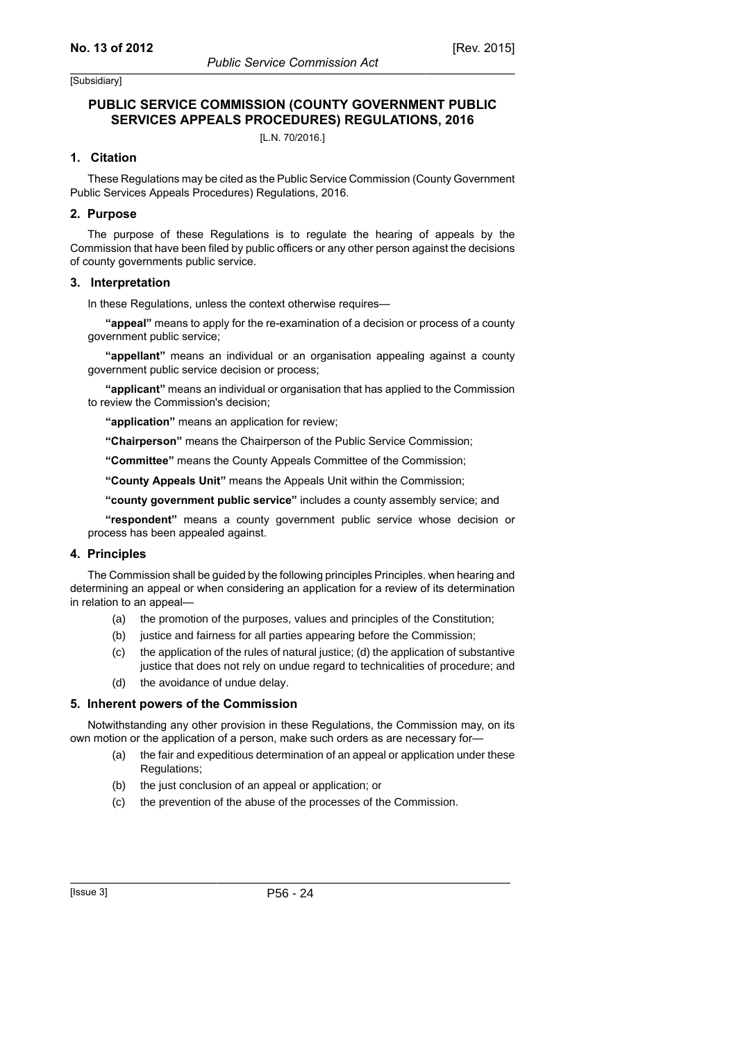#### **PUBLIC SERVICE COMMISSION (COUNTY GOVERNMENT PUBLIC SERVICES APPEALS PROCEDURES) REGULATIONS, 2016**

[L.N. 70/2016.]

#### **1. Citation**

These Regulations may be cited as the Public Service Commission (County Government Public Services Appeals Procedures) Regulations, 2016.

#### **2. Purpose**

The purpose of these Regulations is to regulate the hearing of appeals by the Commission that have been filed by public officers or any other person against the decisions of county governments public service.

#### **3. Interpretation**

In these Regulations, unless the context otherwise requires—

**"appeal"** means to apply for the re-examination of a decision or process of a county government public service;

**"appellant"** means an individual or an organisation appealing against a county government public service decision or process;

**"applicant"** means an individual or organisation that has applied to the Commission to review the Commission's decision;

**"application"** means an application for review;

**"Chairperson"** means the Chairperson of the Public Service Commission;

**"Committee"** means the County Appeals Committee of the Commission;

**"County Appeals Unit"** means the Appeals Unit within the Commission;

**"county government public service"** includes a county assembly service; and

**"respondent"** means a county government public service whose decision or process has been appealed against.

#### **4. Principles**

The Commission shall be guided by the following principles Principles. when hearing and determining an appeal or when considering an application for a review of its determination in relation to an appeal—

- (a) the promotion of the purposes, values and principles of the Constitution;
- (b) justice and fairness for all parties appearing before the Commission;
- (c) the application of the rules of natural justice; (d) the application of substantive justice that does not rely on undue regard to technicalities of procedure; and
- (d) the avoidance of undue delay.

#### **5. Inherent powers of the Commission**

Notwithstanding any other provision in these Regulations, the Commission may, on its own motion or the application of a person, make such orders as are necessary for—

- (a) the fair and expeditious determination of an appeal or application under these Regulations;
- (b) the just conclusion of an appeal or application; or
- (c) the prevention of the abuse of the processes of the Commission.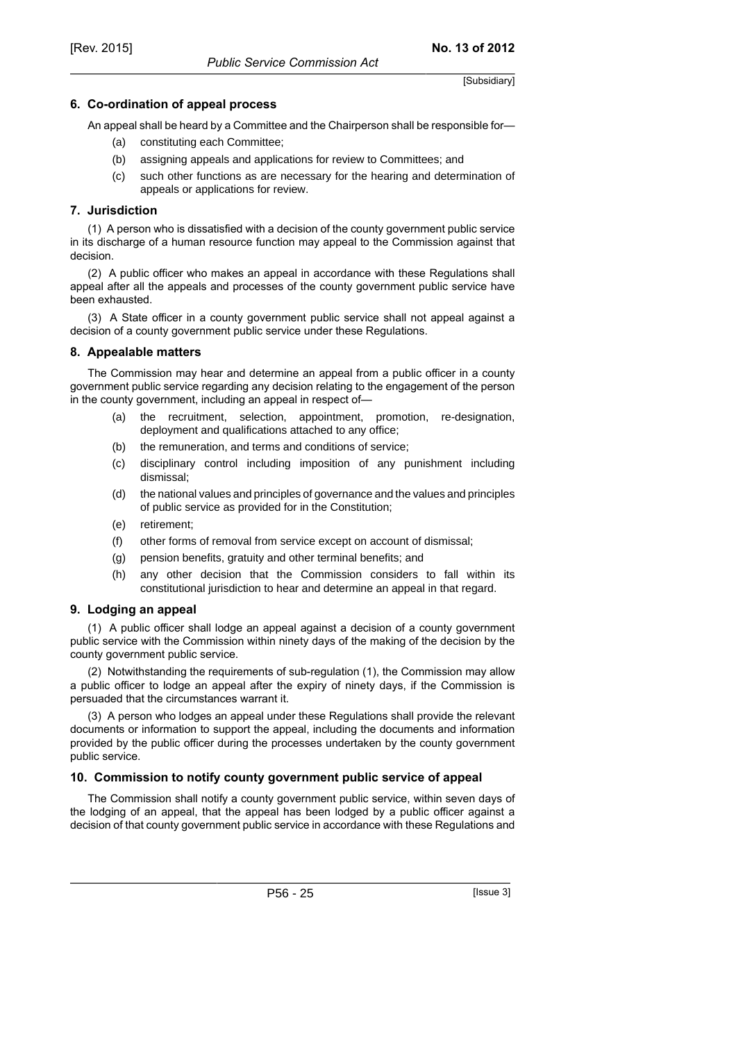#### **6. Co-ordination of appeal process**

An appeal shall be heard by a Committee and the Chairperson shall be responsible for—

- (a) constituting each Committee;
- (b) assigning appeals and applications for review to Committees; and
- (c) such other functions as are necessary for the hearing and determination of appeals or applications for review.

#### **7. Jurisdiction**

(1) A person who is dissatisfied with a decision of the county government public service in its discharge of a human resource function may appeal to the Commission against that decision.

(2) A public officer who makes an appeal in accordance with these Regulations shall appeal after all the appeals and processes of the county government public service have been exhausted.

(3) A State officer in a county government public service shall not appeal against a decision of a county government public service under these Regulations.

#### **8. Appealable matters**

The Commission may hear and determine an appeal from a public officer in a county government public service regarding any decision relating to the engagement of the person in the county government, including an appeal in respect of—

- (a) the recruitment, selection, appointment, promotion, re-designation, deployment and qualifications attached to any office;
- (b) the remuneration, and terms and conditions of service;
- (c) disciplinary control including imposition of any punishment including dismissal;
- (d) the national values and principles of governance and the values and principles of public service as provided for in the Constitution;
- (e) retirement;
- (f) other forms of removal from service except on account of dismissal;
- (g) pension benefits, gratuity and other terminal benefits; and
- (h) any other decision that the Commission considers to fall within its constitutional jurisdiction to hear and determine an appeal in that regard.

#### **9. Lodging an appeal**

(1) A public officer shall lodge an appeal against a decision of a county government public service with the Commission within ninety days of the making of the decision by the county government public service.

(2) Notwithstanding the requirements of sub-regulation (1), the Commission may allow a public officer to lodge an appeal after the expiry of ninety days, if the Commission is persuaded that the circumstances warrant it.

(3) A person who lodges an appeal under these Regulations shall provide the relevant documents or information to support the appeal, including the documents and information provided by the public officer during the processes undertaken by the county government public service.

#### **10. Commission to notify county government public service of appeal**

The Commission shall notify a county government public service, within seven days of the lodging of an appeal, that the appeal has been lodged by a public officer against a decision of that county government public service in accordance with these Regulations and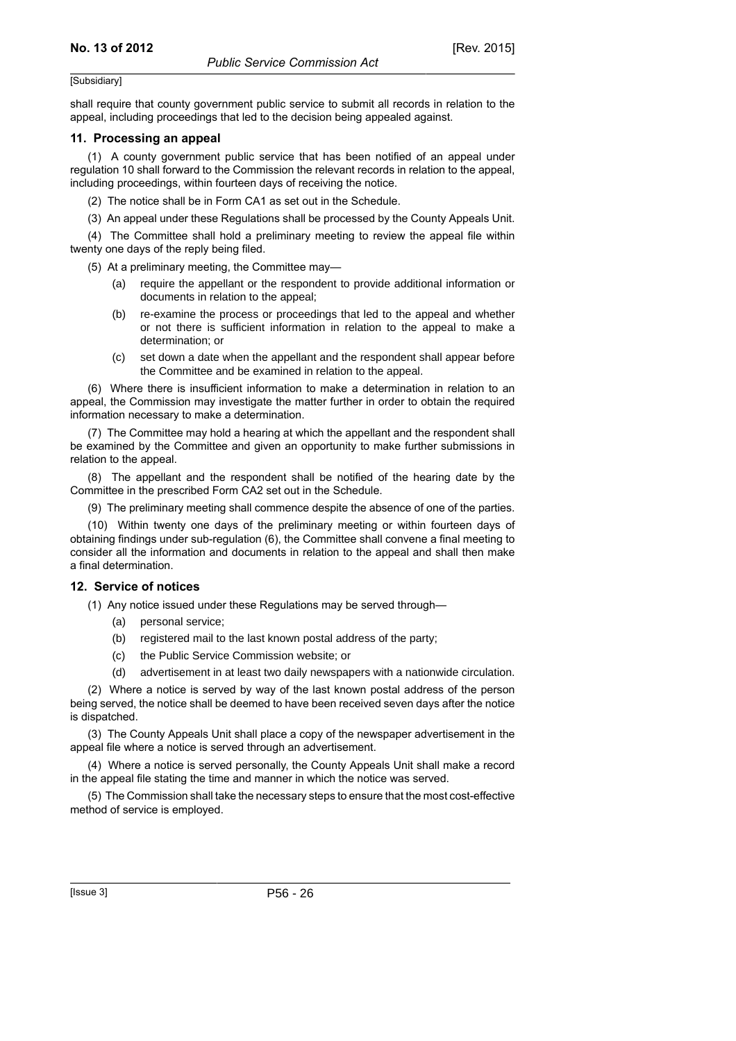shall require that county government public service to submit all records in relation to the appeal, including proceedings that led to the decision being appealed against.

#### **11. Processing an appeal**

(1) A county government public service that has been notified of an appeal under regulation 10 shall forward to the Commission the relevant records in relation to the appeal, including proceedings, within fourteen days of receiving the notice.

(2) The notice shall be in Form CA1 as set out in the Schedule.

(3) An appeal under these Regulations shall be processed by the County Appeals Unit.

(4) The Committee shall hold a preliminary meeting to review the appeal file within twenty one days of the reply being filed.

(5) At a preliminary meeting, the Committee may—

- require the appellant or the respondent to provide additional information or documents in relation to the appeal;
- (b) re-examine the process or proceedings that led to the appeal and whether or not there is sufficient information in relation to the appeal to make a determination; or
- (c) set down a date when the appellant and the respondent shall appear before the Committee and be examined in relation to the appeal.

(6) Where there is insufficient information to make a determination in relation to an appeal, the Commission may investigate the matter further in order to obtain the required information necessary to make a determination.

(7) The Committee may hold a hearing at which the appellant and the respondent shall be examined by the Committee and given an opportunity to make further submissions in relation to the appeal.

(8) The appellant and the respondent shall be notified of the hearing date by the Committee in the prescribed Form CA2 set out in the Schedule.

(9) The preliminary meeting shall commence despite the absence of one of the parties.

(10) Within twenty one days of the preliminary meeting or within fourteen days of obtaining findings under sub-regulation (6), the Committee shall convene a final meeting to consider all the information and documents in relation to the appeal and shall then make a final determination.

#### **12. Service of notices**

(1) Any notice issued under these Regulations may be served through—

- (a) personal service;
- (b) registered mail to the last known postal address of the party;
- (c) the Public Service Commission website; or
- (d) advertisement in at least two daily newspapers with a nationwide circulation.

(2) Where a notice is served by way of the last known postal address of the person being served, the notice shall be deemed to have been received seven days after the notice is dispatched.

(3) The County Appeals Unit shall place a copy of the newspaper advertisement in the appeal file where a notice is served through an advertisement.

(4) Where a notice is served personally, the County Appeals Unit shall make a record in the appeal file stating the time and manner in which the notice was served.

(5) The Commission shall take the necessary steps to ensure that the most cost-effective method of service is employed.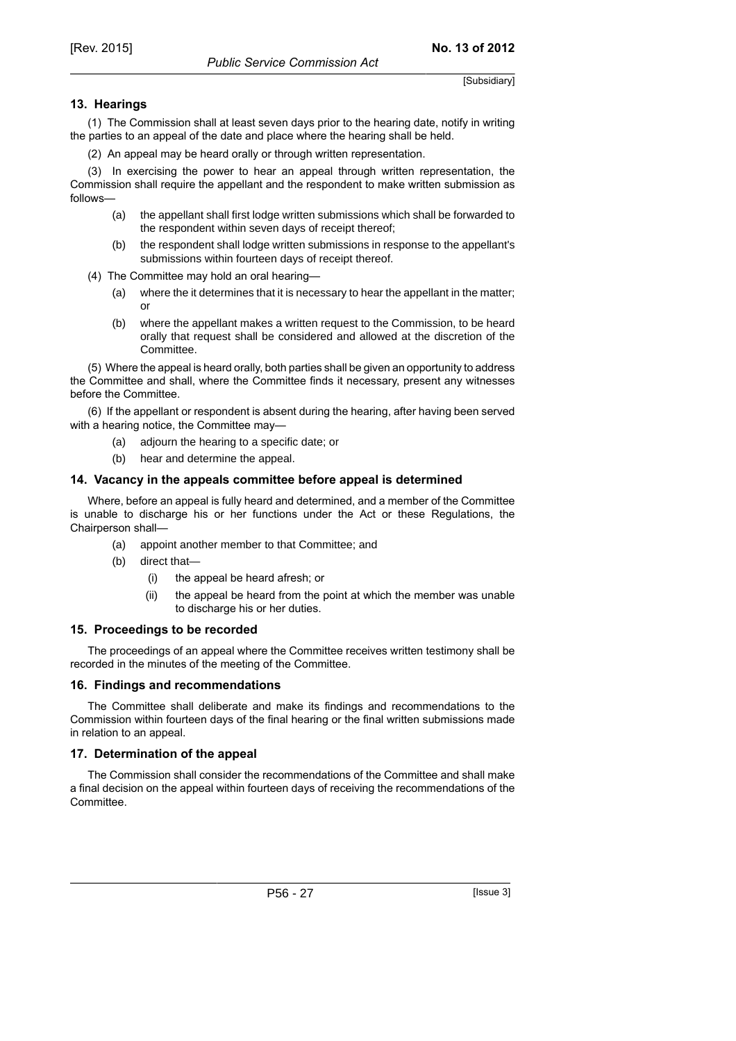#### **13. Hearings**

(1) The Commission shall at least seven days prior to the hearing date, notify in writing the parties to an appeal of the date and place where the hearing shall be held.

(2) An appeal may be heard orally or through written representation.

(3) In exercising the power to hear an appeal through written representation, the Commission shall require the appellant and the respondent to make written submission as follows—

- (a) the appellant shall first lodge written submissions which shall be forwarded to the respondent within seven days of receipt thereof;
- (b) the respondent shall lodge written submissions in response to the appellant's submissions within fourteen days of receipt thereof.
- (4) The Committee may hold an oral hearing—
	- (a) where the it determines that it is necessary to hear the appellant in the matter; or
	- (b) where the appellant makes a written request to the Commission, to be heard orally that request shall be considered and allowed at the discretion of the Committee.

(5) Where the appeal is heard orally, both parties shall be given an opportunity to address the Committee and shall, where the Committee finds it necessary, present any witnesses before the Committee.

(6) If the appellant or respondent is absent during the hearing, after having been served with a hearing notice, the Committee may—

- (a) adjourn the hearing to a specific date; or
- (b) hear and determine the appeal.

#### **14. Vacancy in the appeals committee before appeal is determined**

Where, before an appeal is fully heard and determined, and a member of the Committee is unable to discharge his or her functions under the Act or these Regulations, the Chairperson shall—

- (a) appoint another member to that Committee; and
- (b) direct that—
	- (i) the appeal be heard afresh; or
	- (ii) the appeal be heard from the point at which the member was unable to discharge his or her duties.

#### **15. Proceedings to be recorded**

The proceedings of an appeal where the Committee receives written testimony shall be recorded in the minutes of the meeting of the Committee.

#### **16. Findings and recommendations**

The Committee shall deliberate and make its findings and recommendations to the Commission within fourteen days of the final hearing or the final written submissions made in relation to an appeal.

#### **17. Determination of the appeal**

The Commission shall consider the recommendations of the Committee and shall make a final decision on the appeal within fourteen days of receiving the recommendations of the Committee.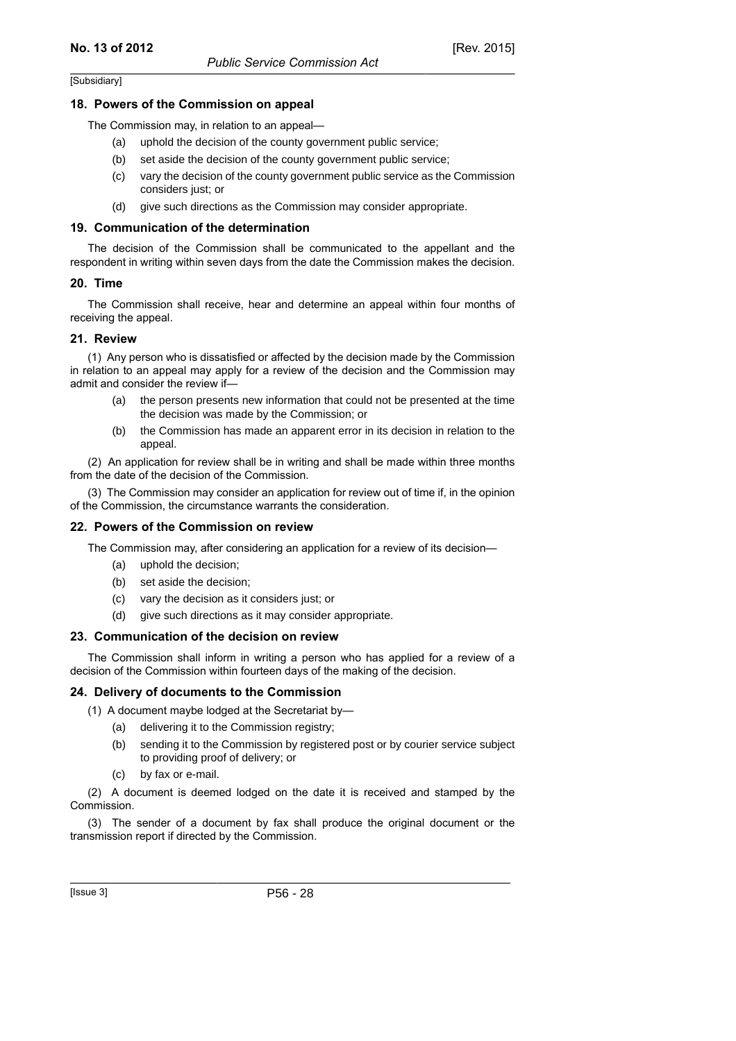#### **18. Powers of the Commission on appeal**

The Commission may, in relation to an appeal—

- (a) uphold the decision of the county government public service;
- (b) set aside the decision of the county government public service;
- (c) vary the decision of the county government public service as the Commission considers just; or
- (d) give such directions as the Commission may consider appropriate.

#### **19. Communication of the determination**

The decision of the Commission shall be communicated to the appellant and the respondent in writing within seven days from the date the Commission makes the decision.

#### **20. Time**

The Commission shall receive, hear and determine an appeal within four months of receiving the appeal.

#### **21. Review**

(1) Any person who is dissatisfied or affected by the decision made by the Commission in relation to an appeal may apply for a review of the decision and the Commission may admit and consider the review if—

- (a) the person presents new information that could not be presented at the time the decision was made by the Commission; or
- (b) the Commission has made an apparent error in its decision in relation to the appeal.

(2) An application for review shall be in writing and shall be made within three months from the date of the decision of the Commission.

(3) The Commission may consider an application for review out of time if, in the opinion of the Commission, the circumstance warrants the consideration.

#### **22. Powers of the Commission on review**

The Commission may, after considering an application for a review of its decision—

- (a) uphold the decision;
- (b) set aside the decision;
- (c) vary the decision as it considers just; or
- (d) give such directions as it may consider appropriate.

#### **23. Communication of the decision on review**

The Commission shall inform in writing a person who has applied for a review of a decision of the Commission within fourteen days of the making of the decision.

#### **24. Delivery of documents to the Commission**

(1) A document maybe lodged at the Secretariat by—

- (a) delivering it to the Commission registry;
- (b) sending it to the Commission by registered post or by courier service subject to providing proof of delivery; or
- (c) by fax or e-mail.

(2) A document is deemed lodged on the date it is received and stamped by the Commission.

(3) The sender of a document by fax shall produce the original document or the transmission report if directed by the Commission.

[Issue 3] P56 - 28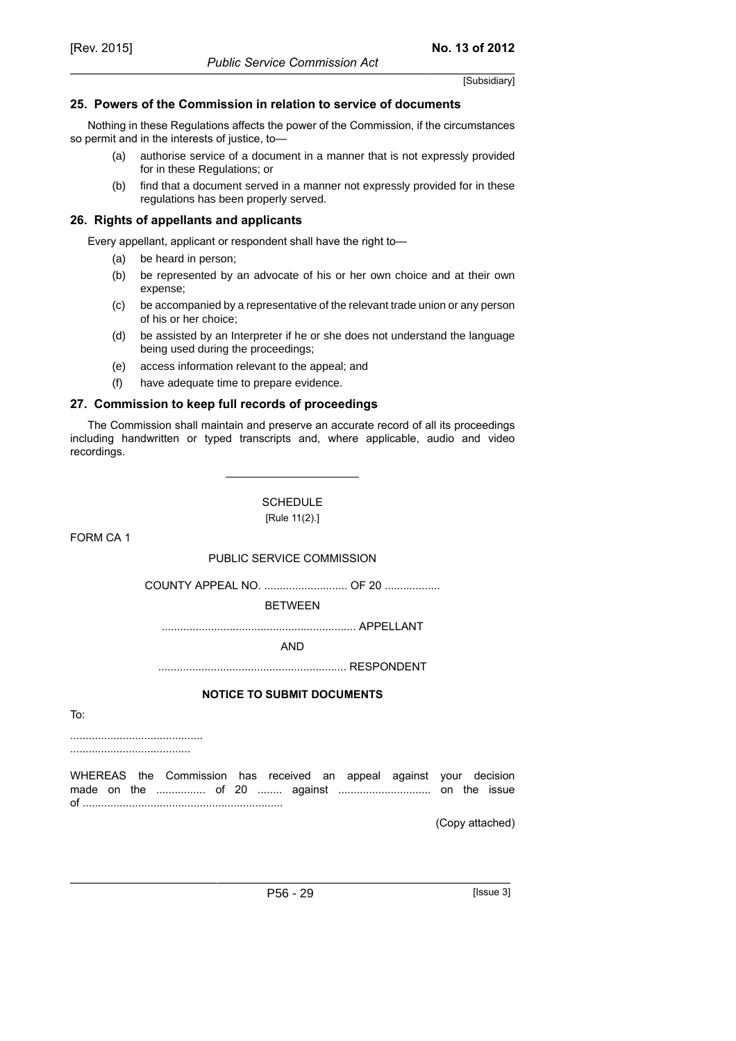#### **25. Powers of the Commission in relation to service of documents**

Nothing in these Regulations affects the power of the Commission, if the circumstances so permit and in the interests of justice, to—

- (a) authorise service of a document in a manner that is not expressly provided for in these Regulations; or
- (b) find that a document served in a manner not expressly provided for in these regulations has been properly served.

#### **26. Rights of appellants and applicants**

Every appellant, applicant or respondent shall have the right to—

- (a) be heard in person;
- (b) be represented by an advocate of his or her own choice and at their own expense;
- (c) be accompanied by a representative of the relevant trade union or any person of his or her choice;
- (d) be assisted by an Interpreter if he or she does not understand the language being used during the proceedings;
- (e) access information relevant to the appeal; and
- (f) have adequate time to prepare evidence.

#### **27. Commission to keep full records of proceedings**

The Commission shall maintain and preserve an accurate record of all its proceedings including handwritten or typed transcripts and, where applicable, audio and video recordings.

> **SCHEDULE** [Rule 11(2).]

FORM CA 1

#### PUBLIC SERVICE COMMISSION

COUNTY APPEAL NO. ............................ OF 20 ..................

**BETWEEN** 

............................................................... APPELLANT

AND

............................................................. RESPONDENT

#### **NOTICE TO SUBMIT DOCUMENTS**

To:

........................................... .......................................

WHEREAS the Commission has received an appeal against your decision made on the ................ of 20 ........ against .............................. on the issue of .................................................................

(Copy attached)